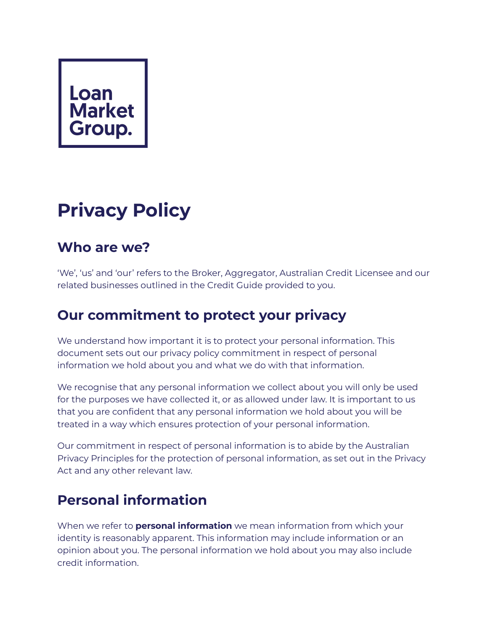## Loan **Market** Group.

# **Privacy Policy**

#### **Who are we?**

'We', 'us' and 'our' refers to the Broker, Aggregator, Australian Credit Licensee and our related businesses outlined in the Credit Guide provided to you.

#### **Our commitment to protect your privacy**

We understand how important it is to protect your personal information. This document sets out our privacy policy commitment in respect of personal information we hold about you and what we do with that information.

We recognise that any personal information we collect about you will only be used for the purposes we have collected it, or as allowed under law. It is important to us that you are confident that any personal information we hold about you will be treated in a way which ensures protection of your personal information.

Our commitment in respect of personal information is to abide by the Australian Privacy Principles for the protection of personal information, as set out in the Privacy Act and any other relevant law.

## **Personal information**

When we refer to **personal information** we mean information from which your identity is reasonably apparent. This information may include information or an opinion about you. The personal information we hold about you may also include credit information.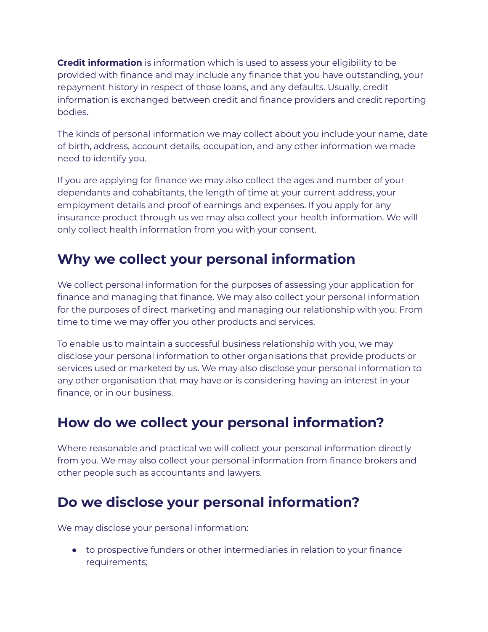**Credit information** is information which is used to assess your eligibility to be provided with finance and may include any finance that you have outstanding, your repayment history in respect of those loans, and any defaults. Usually, credit information is exchanged between credit and finance providers and credit reporting bodies.

The kinds of personal information we may collect about you include your name, date of birth, address, account details, occupation, and any other information we made need to identify you.

If you are applying for finance we may also collect the ages and number of your dependants and cohabitants, the length of time at your current address, your employment details and proof of earnings and expenses. If you apply for any insurance product through us we may also collect your health information. We will only collect health information from you with your consent.

#### **Why we collect your personal information**

We collect personal information for the purposes of assessing your application for finance and managing that finance. We may also collect your personal information for the purposes of direct marketing and managing our relationship with you. From time to time we may offer you other products and services.

To enable us to maintain a successful business relationship with you, we may disclose your personal information to other organisations that provide products or services used or marketed by us. We may also disclose your personal information to any other organisation that may have or is considering having an interest in your finance, or in our business.

#### **How do we collect your personal information?**

Where reasonable and practical we will collect your personal information directly from you. We may also collect your personal information from finance brokers and other people such as accountants and lawyers.

#### **Do we disclose your personal information?**

We may disclose your personal information:

● to prospective funders or other intermediaries in relation to your finance requirements;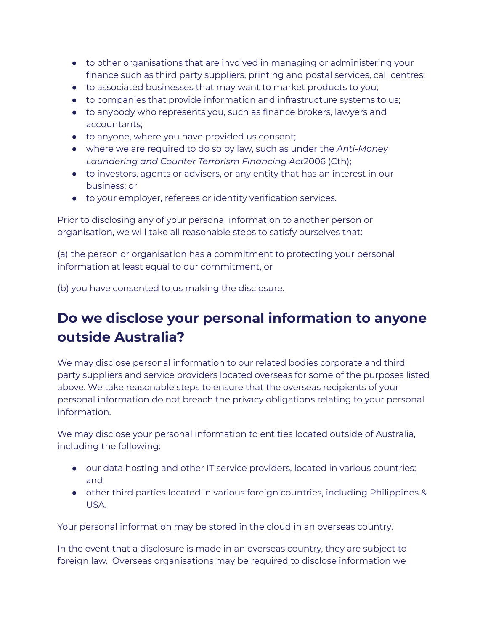- to other organisations that are involved in managing or administering your finance such as third party suppliers, printing and postal services, call centres;
- to associated businesses that may want to market products to you;
- to companies that provide information and infrastructure systems to us;
- to anybody who represents you, such as finance brokers, lawyers and accountants;
- to anyone, where you have provided us consent;
- where we are required to do so by law, such as under the *Anti-Money Laundering and Counter Terrorism Financing Act*2006 (Cth);
- to investors, agents or advisers, or any entity that has an interest in our business; or
- to your employer, referees or identity verification services.

Prior to disclosing any of your personal information to another person or organisation, we will take all reasonable steps to satisfy ourselves that:

(a) the person or organisation has a commitment to protecting your personal information at least equal to our commitment, or

(b) you have consented to us making the disclosure.

### **Do we disclose your personal information to anyone outside Australia?**

We may disclose personal information to our related bodies corporate and third party suppliers and service providers located overseas for some of the purposes listed above. We take reasonable steps to ensure that the overseas recipients of your personal information do not breach the privacy obligations relating to your personal information.

We may disclose your personal information to entities located outside of Australia, including the following:

- our data hosting and other IT service providers, located in various countries; and
- other third parties located in various foreign countries, including Philippines & USA.

Your personal information may be stored in the cloud in an overseas country.

In the event that a disclosure is made in an overseas country, they are subject to foreign law. Overseas organisations may be required to disclose information we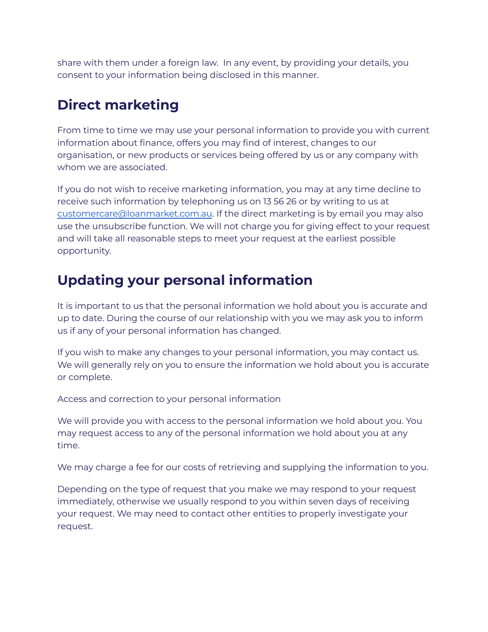share with them under a foreign law. In any event, by providing your details, you consent to your information being disclosed in this manner.

#### **Direct marketing**

From time to time we may use your personal information to provide you with current information about finance, offers you may find of interest, changes to our organisation, or new products or services being offered by us or any company with whom we are associated.

If you do not wish to receive marketing information, you may at any time decline to receive such information by telephoning us on 13 56 26 or by writing to us at [customercare@loanmarket.com.au](mailto:customercare@loanmarket.com.au). If the direct marketing is by email you may also use the unsubscribe function. We will not charge you for giving effect to your request and will take all reasonable steps to meet your request at the earliest possible opportunity.

#### **Updating your personal information**

It is important to us that the personal information we hold about you is accurate and up to date. During the course of our relationship with you we may ask you to inform us if any of your personal information has changed.

If you wish to make any changes to your personal information, you may contact us. We will generally rely on you to ensure the information we hold about you is accurate or complete.

Access and correction to your personal information

We will provide you with access to the personal information we hold about you. You may request access to any of the personal information we hold about you at any time.

We may charge a fee for our costs of retrieving and supplying the information to you.

Depending on the type of request that you make we may respond to your request immediately, otherwise we usually respond to you within seven days of receiving your request. We may need to contact other entities to properly investigate your request.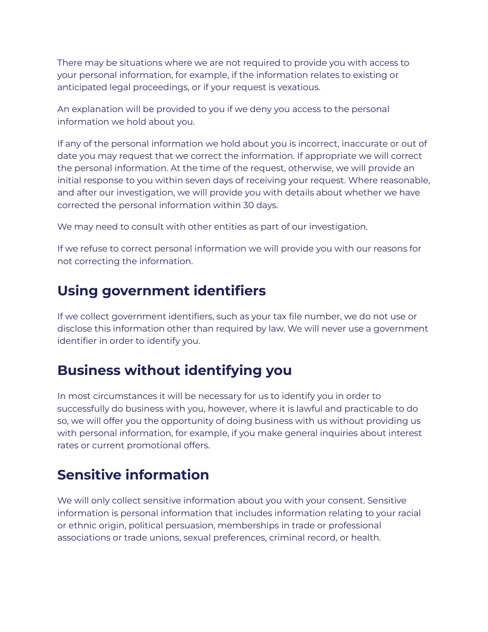There may be situations where we are not required to provide you with access to your personal information, for example, if the information relates to existing or anticipated legal proceedings, or if your request is vexatious.

An explanation will be provided to you if we deny you access to the personal information we hold about you.

If any of the personal information we hold about you is incorrect, inaccurate or out of date you may request that we correct the information. If appropriate we will correct the personal information. At the time of the request, otherwise, we will provide an initial response to you within seven days of receiving your request. Where reasonable, and after our investigation, we will provide you with details about whether we have corrected the personal information within 30 days.

We may need to consult with other entities as part of our investigation.

If we refuse to correct personal information we will provide you with our reasons for not correcting the information.

#### **Using government identifiers**

If we collect government identifiers, such as your tax file number, we do not use or disclose this information other than required by law. We will never use a government identifier in order to identify you.

#### **Business without identifying you**

In most circumstances it will be necessary for us to identify you in order to successfully do business with you, however, where it is lawful and practicable to do so, we will offer you the opportunity of doing business with us without providing us with personal information, for example, if you make general inquiries about interest rates or current promotional offers.

#### **Sensitive information**

We will only collect sensitive information about you with your consent. Sensitive information is personal information that includes information relating to your racial or ethnic origin, political persuasion, memberships in trade or professional associations or trade unions, sexual preferences, criminal record, or health.